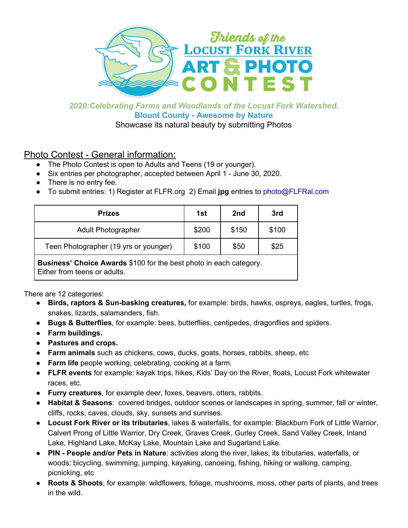

# *2020:Celebrating Farms and Woodlands of the Locust Fork Watershed.* **Blount County - Awesome by Nature**

Showcase its natural beauty by submitting Photos

# Photo Contest - General information:

- The Photo Contest is open to Adults and Teens (19 or younger).
- Six entries per photographer, accepted between April 1 June 30, 2020.
- There is no entry fee.
- To submit entries: 1) Register at FLFR.org 2) Email **jpg** entries to photo@FLFRal.com

| <b>Prizes</b>                         | 1st   | 2nd   | 3rd   |
|---------------------------------------|-------|-------|-------|
| <b>Adult Photographer</b>             | \$200 | \$150 | \$100 |
| Teen Photographer (19 yrs or younger) | \$100 | \$50  | \$25  |

**Business' Choice Awards** \$100 for the best photo in each category. Either from teens or adults.

There are 12 categories:

- **Birds, raptors & Sun-basking creatures,** for example: birds, hawks, ospreys, eagles, turtles, frogs, snakes, lizards, salamanders, fish.
- **Bugs & Butterflies**, for example: bees, butterflies, centipedes, dragonflies and spiders.
- **● Farm buildings.**
- **● Pastures and crops.**
- **● Farm animals** such as chickens, cows, ducks, goats, horses, rabbits, sheep, etc
- **Farm life** people working, celebrating, cooking at a farm.
- **● FLFR events** for example: kayak trips, hikes, Kids' Day on the River, floats, Locust Fork whitewater races, etc.
- **Furry creatures**, for example deer, foxes, beavers, otters, rabbits.
- **● Habitat & Seasons**: covered bridges, outdoor scenes or landscapes in spring, summer, fall or winter, cliffs, rocks, caves, clouds, sky, sunsets and sunrises.
- **Locust Fork River or its tributaries**, lakes & waterfalls, for example: Blackburn Fork of Little Warrior, Calvert Prong of Little Warrior, Dry Creek, Graves Creek, Gurley Creek, Sand Valley Creek, Inland Lake, Highland Lake, McKay Lake, Mountain Lake and Sugarland Lake.
- **PIN - People and/or Pets in Nature**: activities along the river, lakes, its tributaries, waterfalls, or woods: bicycling, swimming, jumping, kayaking, canoeing, fishing, hiking or walking, camping, picnicking, etc
- **Roots & Shoots**, for example: wildflowers, foliage, mushrooms, moss, other parts of plants, and trees in the wild.